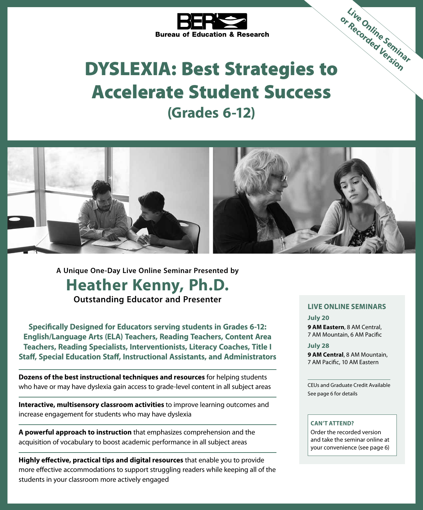

# DYSLEXIA: Best Strategies to Accelerate Student Success **(Grades 6-12)** or Recorded Version



**A Unique One-Day Live Online Seminar Presented by Heather Kenny, Ph.D. Outstanding Educator and Presenter**

**Specifically Designed for Educators serving students in Grades 6-12: English/Language Arts (ELA) Teachers, Reading Teachers, Content Area Teachers, Reading Specialists, Interventionists, Literacy Coaches, Title I Staff, Special Education Staff, Instructional Assistants, and Administrators**

**Dozens of the best instructional techniques and resources** for helping students who have or may have dyslexia gain access to grade-level content in all subject areas

**Interactive, multisensory classroom activities** to improve learning outcomes and increase engagement for students who may have dyslexia

**A powerful approach to instruction** that emphasizes comprehension and the acquisition of vocabulary to boost academic performance in all subject areas

**Highly effective, practical tips and digital resources** that enable you to provide more effective accommodations to support struggling readers while keeping all of the students in your classroom more actively engaged

#### **LIVE ONLINE SEMINARS**

**Live Online Seminar** 

**July 20 9 AM Eastern**, 8 AM Central, 7 AM Mountain, 6 AM Pacific

**July 28**

**9 AM Central**, 8 AM Mountain, 7 AM Pacific, 10 AM Eastern

CEUs and Graduate Credit Available See page 6 for details

#### **CAN'T ATTEND?**

Order the recorded version and take the seminar online at your convenience (see page 6)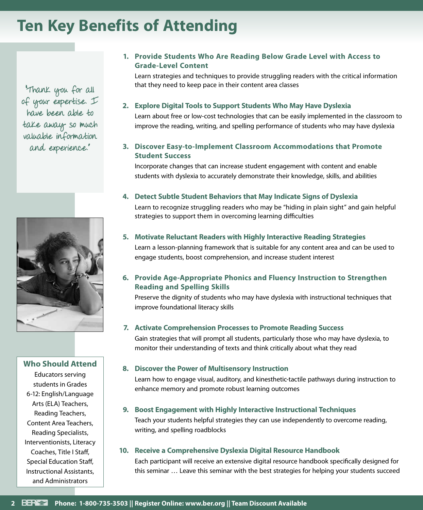# **Ten Key Benefits of Attending**

"Thank you for all of your expertise. I have been able to take away so much valuable information and experience."



### **Who Should Attend**

Educators serving students in Grades 6-12: English/Language Arts (ELA) Teachers, Reading Teachers, Content Area Teachers, Reading Specialists, Interventionists, Literacy Coaches, Title I Staff, Special Education Staff, Instructional Assistants, and Administrators

### **1. Provide Students Who Are Reading Below Grade Level with Access to Grade-Level Content**

Learn strategies and techniques to provide struggling readers with the critical information that they need to keep pace in their content area classes

### **2. Explore Digital Tools to Support Students Who May Have Dyslexia**

Learn about free or low-cost technologies that can be easily implemented in the classroom to improve the reading, writing, and spelling performance of students who may have dyslexia

### **3. Discover Easy-to-Implement Classroom Accommodations that Promote Student Success**

Incorporate changes that can increase student engagement with content and enable students with dyslexia to accurately demonstrate their knowledge, skills, and abilities

### **4. Detect Subtle Student Behaviors that May Indicate Signs of Dyslexia**

Learn to recognize struggling readers who may be "hiding in plain sight" and gain helpful strategies to support them in overcoming learning difficulties

### **5. Motivate Reluctant Readers with Highly Interactive Reading Strategies**

Learn a lesson-planning framework that is suitable for any content area and can be used to engage students, boost comprehension, and increase student interest

### **6. Provide Age-Appropriate Phonics and Fluency Instruction to Strengthen Reading and Spelling Skills**

Preserve the dignity of students who may have dyslexia with instructional techniques that improve foundational literacy skills

### **7. Activate Comprehension Processes to Promote Reading Success**

Gain strategies that will prompt all students, particularly those who may have dyslexia, to monitor their understanding of texts and think critically about what they read

### **8. Discover the Power of Multisensory Instruction**

Learn how to engage visual, auditory, and kinesthetic-tactile pathways during instruction to enhance memory and promote robust learning outcomes

### **9. Boost Engagement with Highly Interactive Instructional Techniques**

Teach your students helpful strategies they can use independently to overcome reading, writing, and spelling roadblocks

### **10. Receive a Comprehensive Dyslexia Digital Resource Handbook**

Each participant will receive an extensive digital resource handbook specifically designed for this seminar … Leave this seminar with the best strategies for helping your students succeed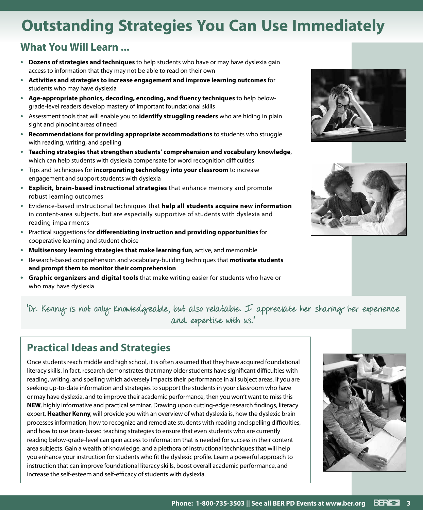# **Outstanding Strategies You Can Use Immediately**

### **What You Will Learn ...**

- **• Dozens of strategies and techniques** to help students who have or may have dyslexia gain access to information that they may not be able to read on their own
- **• Activities and strategies to increase engagement and improve learning outcomes** for students who may have dyslexia
- **• Age-appropriate phonics, decoding, encoding, and fluency techniques** to help belowgrade-level readers develop mastery of important foundational skills
- **•** Assessment tools that will enable you to **identify struggling readers** who are hiding in plain sight and pinpoint areas of need
- **• Recommendations for providing appropriate accommodations** to students who struggle with reading, writing, and spelling
- **• Teaching strategies that strengthen students' comprehension and vocabulary knowledge**, which can help students with dyslexia compensate for word recognition difficulties
- **•** Tips and techniques for **incorporating technology into your classroom** to increase engagement and support students with dyslexia
- **• Explicit, brain-based instructional strategies** that enhance memory and promote robust learning outcomes
- **•** Evidence-based instructional techniques that **help all students acquire new information** in content-area subjects, but are especially supportive of students with dyslexia and reading impairments
- **•** Practical suggestions for **differentiating instruction and providing opportunities** for cooperative learning and student choice
- **• Multisensory learning strategies that make learning fun**, active, and memorable
- **•** Research-based comprehension and vocabulary-building techniques that **motivate students and prompt them to monitor their comprehension**
- **• Graphic organizers and digital tools** that make writing easier for students who have or who may have dyslexia





"Dr. Kenny is not only knowledgeable, but also relatable. I appreciate her sharing her experience and expertise with us."

### **Practical Ideas and Strategies**

Once students reach middle and high school, it is often assumed that they have acquired foundational literacy skills. In fact, research demonstrates that many older students have significant difficulties with reading, writing, and spelling which adversely impacts their performance in all subject areas. If you are seeking up-to-date information and strategies to support the students in your classroom who have or may have dyslexia, and to improve their academic performance, then you won't want to miss this **NEW**, highly informative and practical seminar. Drawing upon cutting-edge research findings, literacy expert, **Heather Kenny**, will provide you with an overview of what dyslexia is, how the dyslexic brain processes information, how to recognize and remediate students with reading and spelling difficulties, and how to use brain-based teaching strategies to ensure that even students who are currently reading below-grade-level can gain access to information that is needed for success in their content area subjects. Gain a wealth of knowledge, and a plethora of instructional techniques that will help you enhance your instruction for students who fit the dyslexic profile. Learn a powerful approach to instruction that can improve foundational literacy skills, boost overall academic performance, and increase the self-esteem and self-efficacy of students with dyslexia.

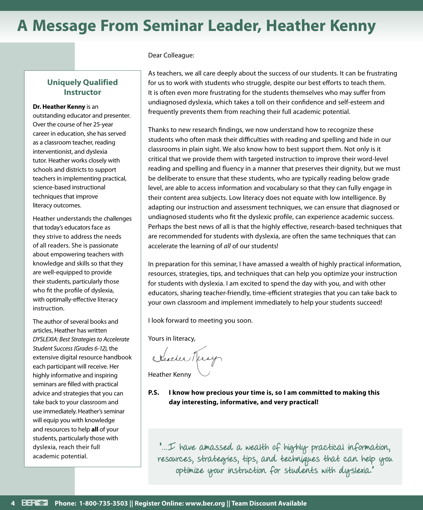# **A Message From Seminar Leader, Heather Kenny**

### **Uniquely Qualified Instructor**

#### **Dr. Heather Kenny** is an

outstanding educator and presenter. Over the course of her 25-year career in education, she has served as a classroom teacher, reading interventionist, and dyslexia tutor. Heather works closely with schools and districts to support teachers in implementing practical, science-based instructional techniques that improve literacy outcomes.

Heather understands the challenges that today's educators face as they strive to address the needs of all readers. She is passionate about empowering teachers with knowledge and skills so that they are well-equipped to provide their students, particularly those who fit the profile of dyslexia, with optimally-effective literacy instruction.

The author of several books and articles, Heather has written *DYSLEXIA: Best Strategies to Accelerate Student Success (Grades 6-12)*, the extensive digital resource handbook each participant will receive. Her highly informative and inspiring seminars are filled with practical advice and strategies that you can take back to your classroom and use immediately. Heather's seminar will equip you with knowledge and resources to help **all** of your students, particularly those with dyslexia, reach their full academic potential.

#### Dear Colleague:

As teachers, we all care deeply about the success of our students. It can be frustrating for us to work with students who struggle, despite our best efforts to teach them. It is often even more frustrating for the students themselves who may suffer from undiagnosed dyslexia, which takes a toll on their confidence and self-esteem and frequently prevents them from reaching their full academic potential.

Thanks to new research findings, we now understand how to recognize these students who often mask their difficulties with reading and spelling and hide in our classrooms in plain sight. We also know how to best support them. Not only is it critical that we provide them with targeted instruction to improve their word-level reading and spelling and fluency in a manner that preserves their dignity, but we must be deliberate to ensure that these students, who are typically reading below grade level, are able to access information and vocabulary so that they can fully engage in their content area subjects. Low literacy does not equate with low intelligence. By adapting our instruction and assessment techniques, we can ensure that diagnosed or undiagnosed students who fit the dyslexic profile, can experience academic success. Perhaps the best news of all is that the highly effective, research-based techniques that are recommended for students with dyslexia, are often the same techniques that can accelerate the learning of *all* of our students!

In preparation for this seminar, I have amassed a wealth of highly practical information, resources, strategies, tips, and techniques that can help you optimize your instruction for students with dyslexia. I am excited to spend the day with you, and with other educators, sharing teacher-friendly, time-efficient strategies that you can take back to your own classroom and implement immediately to help your students succeed!

I look forward to meeting you soon.

Yours in literacy,

Kleather Terry

Heather Kenny

**P.S. I know how precious your time is, so I am committed to making this day interesting, informative, and very practical!**

"…I have amassed a wealth of highly practical information, resources, strategies, tips, and techniques that can help you optimize your instruction for students with dyslexia."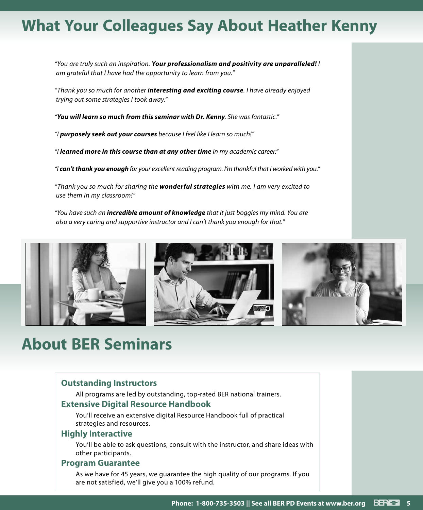# **What Your Colleagues Say About Heather Kenny**

*"You are truly such an inspiration. Your professionalism and positivity are unparalleled! I am grateful that I have had the opportunity to learn from you."*

*"Thank you so much for another interesting and exciting course. I have already enjoyed trying out some strategies I took away."*

*"You will learn so much from this seminar with Dr. Kenny. She was fantastic."*

*"I purposely seek out your courses because I feel like I learn so much!"*

*"I learned more in this course than at any other time in my academic career."*

*"I can't thank you enough for your excellent reading program. I'm thankful that I worked with you."*

*"Thank you so much for sharing the wonderful strategies with me. I am very excited to use them in my classroom!"*

*"You have such an incredible amount of knowledge that it just boggles my mind. You are also a very caring and supportive instructor and I can't thank you enough for that."*



# **About BER Seminars**

### **Outstanding Instructors**

All programs are led by outstanding, top-rated BER national trainers.

### **Extensive Digital Resource Handbook**

You'll receive an extensive digital Resource Handbook full of practical strategies and resources.

### **Highly Interactive**

You'll be able to ask questions, consult with the instructor, and share ideas with other participants.

### **Program Guarantee**

As we have for 45 years, we guarantee the high quality of our programs. If you are not satisfied, we'll give you a 100% refund.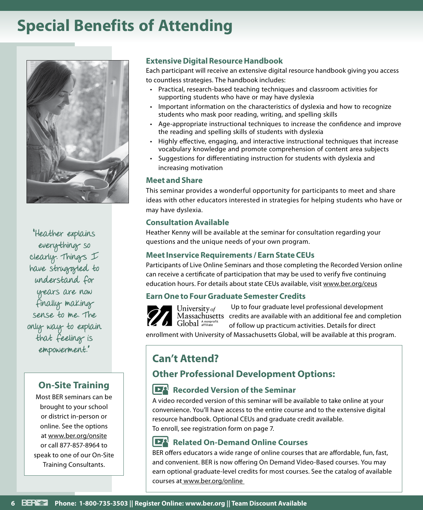# **Special Benefits of Attending**



"Heather explains everything so clearly. Things I have struggted to understand for years are now finally making sense to me. The only way to explain that feeling is empowerment."

### **On-Site Training**

Most BER seminars can be brought to your school or district in-person or online. See the options at www.ber.org/onsite or call 877-857-8964 to speak to one of our On-Site Training Consultants.

### **Extensive Digital Resource Handbook**

Each participant will receive an extensive digital resource handbook giving you access to countless strategies. The handbook includes:

- Practical, research-based teaching techniques and classroom activities for supporting students who have or may have dyslexia
- Important information on the characteristics of dyslexia and how to recognize students who mask poor reading, writing, and spelling skills
- Age-appropriate instructional techniques to increase the confidence and improve the reading and spelling skills of students with dyslexia
- Highly effective, engaging, and interactive instructional techniques that increase vocabulary knowledge and promote comprehension of content area subjects
- Suggestions for differentiating instruction for students with dyslexia and increasing motivation

### **Meet and Share**

This seminar provides a wonderful opportunity for participants to meet and share ideas with other educators interested in strategies for helping students who have or may have dyslexia.

#### **Consultation Available**

Heather Kenny will be available at the seminar for consultation regarding your questions and the unique needs of your own program.

### **Meet Inservice Requirements / Earn State CEUs**

Participants of Live Online Seminars and those completing the Recorded Version online can receive a certificate of participation that may be used to verify five continuing education hours. For details about state CEUs available, visit www.ber.org/ceus

### **Earn One to Four Graduate Semester Credits**

Up to four graduate level professional development University of Massachusetts credits are available with an additional fee and completion Global Anonprofi of follow up practicum activities. Details for direct

enrollment with University of Massachusetts Global, will be available at this program.

### **Can't Attend?**

### **Other Professional Development Options:**

### **Recorded Version of the Seminar**

A video recorded version of this seminar will be available to take online at your convenience. You'll have access to the entire course and to the extensive digital resource handbook. Optional CEUs and graduate credit available. To enroll, see registration form on page 7.

### **Related On-Demand Online Courses**

BER offers educators a wide range of online courses that are affordable, fun, fast, and convenient. BER is now offering On Demand Video-Based courses. You may earn optional graduate-level credits for most courses. See the catalog of available courses at www.ber.org/online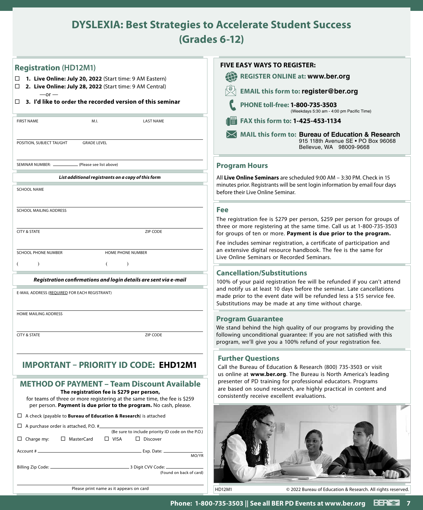### **DYSLEXIA: Best Strategies to Accelerate Student Success (Grades 6-12)**

| <b>Registration (HD12M1)</b>                                                                                                                                                                                                                      | <b>FIVE EASY WAYS TO REGISTER:</b>                                                                                                                                                                       |
|---------------------------------------------------------------------------------------------------------------------------------------------------------------------------------------------------------------------------------------------------|----------------------------------------------------------------------------------------------------------------------------------------------------------------------------------------------------------|
| □ 1. Live Online: July 20, 2022 (Start time: 9 AM Eastern)                                                                                                                                                                                        | <b>REGISTER ONLINE at: www.ber.org</b><br>EE)                                                                                                                                                            |
| 2. Live Online: July 28, 2022 (Start time: 9 AM Central)<br>□<br>$-$ or $-$                                                                                                                                                                       | <b>EMAIL this form to: register@ber.org</b>                                                                                                                                                              |
| 3. I'd like to order the recorded version of this seminar<br>$\Box$                                                                                                                                                                               | PHONE toll-free: 1-800-735-3503<br>(Weekdays 5:30 am - 4:00 pm Pacific Time)                                                                                                                             |
| <b>FIRST NAME</b><br>M.I.<br><b>LAST NAME</b>                                                                                                                                                                                                     | FAX this form to: 1-425-453-1134                                                                                                                                                                         |
| POSITION, SUBJECT TAUGHT<br><b>GRADE LEVEL</b>                                                                                                                                                                                                    | MAIL this form to: Bureau of Education & Research<br>915 118th Avenue SE . PO Box 96068<br>Bellevue, WA 98009-9668                                                                                       |
| SEMINAR NUMBER: _<br>(Please see list above)                                                                                                                                                                                                      | <b>Program Hours</b>                                                                                                                                                                                     |
| List additional registrants on a copy of this form                                                                                                                                                                                                | All Live Online Seminars are scheduled 9:00 AM – 3:30 PM. Check in 15                                                                                                                                    |
| <b>SCHOOL NAME</b>                                                                                                                                                                                                                                | minutes prior. Registrants will be sent login information by email four days<br>before their Live Online Seminar.                                                                                        |
| SCHOOL MAILING ADDRESS                                                                                                                                                                                                                            | <b>Fee</b>                                                                                                                                                                                               |
|                                                                                                                                                                                                                                                   | The registration fee is \$279 per person, \$259 per person for groups of<br>three or more registering at the same time. Call us at 1-800-735-3503                                                        |
| <b>CITY &amp; STATE</b><br>ZIP CODE                                                                                                                                                                                                               | for groups of ten or more. Payment is due prior to the program.<br>Fee includes seminar registration, a certificate of participation and                                                                 |
| SCHOOL PHONE NUMBER<br>HOME PHONE NUMBER                                                                                                                                                                                                          | an extensive digital resource handbook. The fee is the same for                                                                                                                                          |
| $\lambda$                                                                                                                                                                                                                                         | Live Online Seminars or Recorded Seminars.                                                                                                                                                               |
| Registration confirmations and login details are sent via e-mail                                                                                                                                                                                  | <b>Cancellation/Substitutions</b><br>100% of your paid registration fee will be refunded if you can't attend                                                                                             |
| E-MAIL ADDRESS (REQUIRED FOR EACH REGISTRANT)                                                                                                                                                                                                     | and notify us at least 10 days before the seminar. Late cancellations<br>made prior to the event date will be refunded less a \$15 service fee.<br>Substitutions may be made at any time without charge. |
| HOME MAILING ADDRESS                                                                                                                                                                                                                              | <b>Program Guarantee</b>                                                                                                                                                                                 |
|                                                                                                                                                                                                                                                   | We stand behind the high quality of our programs by providing the                                                                                                                                        |
| <b>CITY &amp; STATE</b><br>ZIP CODE                                                                                                                                                                                                               | following unconditional guarantee: If you are not satisfied with this<br>program, we'll give you a 100% refund of your registration fee.                                                                 |
| <b>IMPORTANT - PRIORITY ID CODE: EHD12M1</b>                                                                                                                                                                                                      | <b>Further Questions</b><br>Call the Bureau of Education & Research (800) 735-3503 or visit<br>us online at www.ber.org. The Bureau is North America's leading                                           |
| <b>METHOD OF PAYMENT - Team Discount Available</b><br>The registration fee is \$279 per person,<br>for teams of three or more registering at the same time, the fee is \$259<br>per person. Payment is due prior to the program. No cash, please. | presenter of PD training for professional educators. Programs<br>are based on sound research, are highly practical in content and<br>consistently receive excellent evaluations.                         |
| $\Box$ A check (payable to <b>Bureau of Education &amp; Research</b> ) is attached                                                                                                                                                                |                                                                                                                                                                                                          |
| $\Box$ A purchase order is attached, P.O. #<br>(Be sure to include priority ID code on the P.O.)                                                                                                                                                  |                                                                                                                                                                                                          |
| $\Box$ Charge my:<br>□ MasterCard<br>$\square$ VISA<br>$\square$ Discover                                                                                                                                                                         |                                                                                                                                                                                                          |
| MO/YR<br>(Found on back of card)                                                                                                                                                                                                                  |                                                                                                                                                                                                          |
| Please print name as it appears on card                                                                                                                                                                                                           | <b>HD12M1</b><br>© 2022 Bureau of Education & Research. All rights reserved.                                                                                                                             |
|                                                                                                                                                                                                                                                   |                                                                                                                                                                                                          |